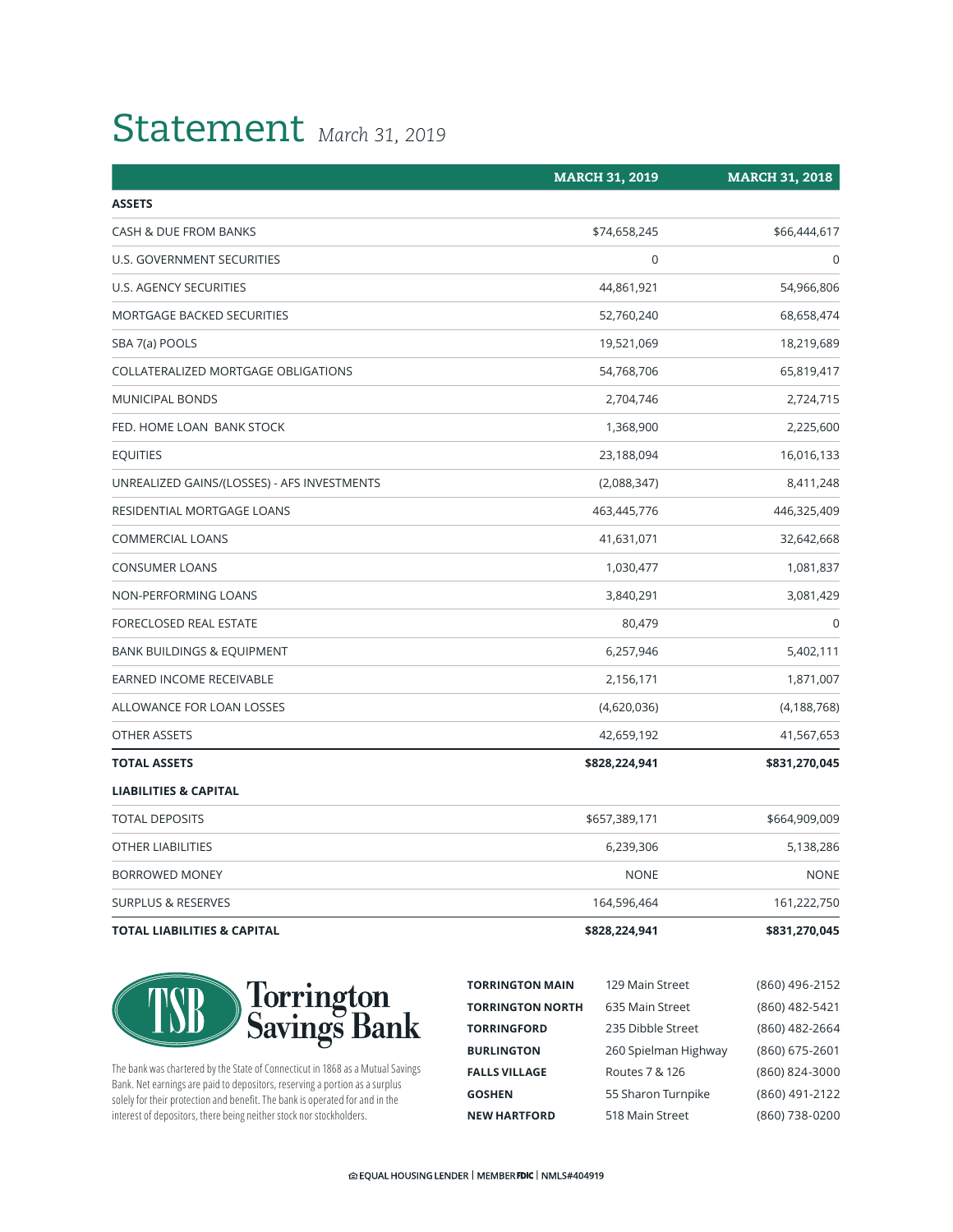## Statement *March 31, 2019*

|                                             | <b>MARCH 31, 2019</b> | <b>MARCH 31, 2018</b> |
|---------------------------------------------|-----------------------|-----------------------|
| <b>ASSETS</b>                               |                       |                       |
| CASH & DUE FROM BANKS                       | \$74,658,245          | \$66,444,617          |
| U.S. GOVERNMENT SECURITIES                  | $\pmb{0}$             | $\mathbf 0$           |
| U.S. AGENCY SECURITIES                      | 44,861,921            | 54,966,806            |
| MORTGAGE BACKED SECURITIES                  | 52,760,240            | 68,658,474            |
| SBA 7(a) POOLS                              | 19,521,069            | 18,219,689            |
| COLLATERALIZED MORTGAGE OBLIGATIONS         | 54,768,706            | 65,819,417            |
| <b>MUNICIPAL BONDS</b>                      | 2,704,746             | 2,724,715             |
| FED. HOME LOAN BANK STOCK                   | 1,368,900             | 2,225,600             |
| <b>EQUITIES</b>                             | 23,188,094            | 16,016,133            |
| UNREALIZED GAINS/(LOSSES) - AFS INVESTMENTS | (2,088,347)           | 8,411,248             |
| RESIDENTIAL MORTGAGE LOANS                  | 463,445,776           | 446,325,409           |
| <b>COMMERCIAL LOANS</b>                     | 41,631,071            | 32,642,668            |
| <b>CONSUMER LOANS</b>                       | 1,030,477             | 1,081,837             |
| NON-PERFORMING LOANS                        | 3,840,291             | 3,081,429             |
| FORECLOSED REAL ESTATE                      | 80,479                | $\mathbf 0$           |
| <b>BANK BUILDINGS &amp; EQUIPMENT</b>       | 6,257,946             | 5,402,111             |
| <b>EARNED INCOME RECEIVABLE</b>             | 2,156,171             | 1,871,007             |
| ALLOWANCE FOR LOAN LOSSES                   | (4,620,036)           | (4, 188, 768)         |
| OTHER ASSETS                                | 42,659,192            | 41,567,653            |
| <b>TOTAL ASSETS</b>                         | \$828,224,941         | \$831,270,045         |
| <b>LIABILITIES &amp; CAPITAL</b>            |                       |                       |
| <b>TOTAL DEPOSITS</b>                       | \$657,389,171         | \$664,909,009         |
| <b>OTHER LIABILITIES</b>                    | 6,239,306             | 5,138,286             |
| <b>BORROWED MONEY</b>                       | <b>NONE</b>           | <b>NONE</b>           |
| <b>SURPLUS &amp; RESERVES</b>               | 164,596,464           | 161,222,750           |
| <b>TOTAL LIABILITIES &amp; CAPITAL</b>      | \$828,224,941         | \$831,270,045         |



The bank was chartered by the State of Connecticut in 1868 as a Mutual Savings Bank. Net earnings are paid to depositors, reserving a portion as a surplus solely for their protection and benefit. The bank is operated for and in the interest of depositors, there being neither stock nor stockholders.

| <b>TORRINGTON MAIN</b>  | 129 Main Street      | (860) 496-2152 |
|-------------------------|----------------------|----------------|
| <b>TORRINGTON NORTH</b> | 635 Main Street      | (860) 482-5421 |
| <b>TORRINGFORD</b>      | 235 Dibble Street    | (860) 482-2664 |
| <b>BURLINGTON</b>       | 260 Spielman Highway | (860) 675-2601 |
| <b>FALLS VILLAGE</b>    | Routes 7 & 126       | (860) 824-3000 |
| <b>GOSHEN</b>           | 55 Sharon Turnpike   | (860) 491-2122 |
| <b>NEW HARTFORD</b>     | 518 Main Street      | (860) 738-0200 |